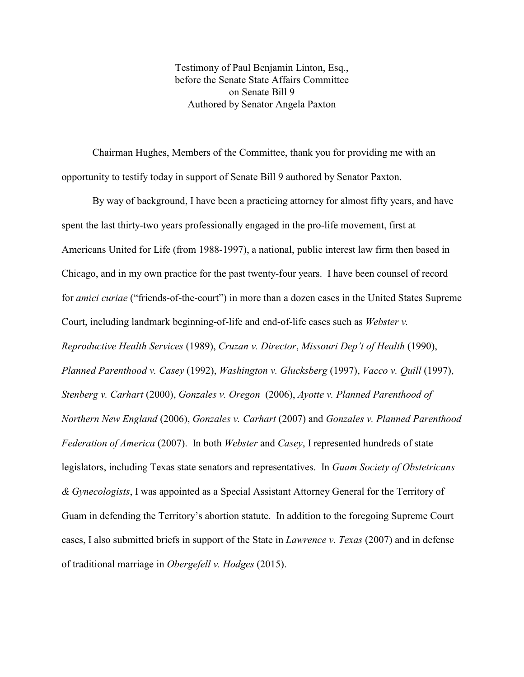Testimony of Paul Benjamin Linton, Esq., before the Senate State Affairs Committee on Senate Bill 9 Authored by Senator Angela Paxton

Chairman Hughes, Members of the Committee, thank you for providing me with an opportunity to testify today in support of Senate Bill 9 authored by Senator Paxton.

By way of background, I have been a practicing attorney for almost fifty years, and have spent the last thirty-two years professionally engaged in the pro-life movement, first at Americans United for Life (from 1988-1997), a national, public interest law firm then based in Chicago, and in my own practice for the past twenty-four years. I have been counsel of record for *amici curiae* ("friends-of-the-court") in more than a dozen cases in the United States Supreme Court, including landmark beginning-of-life and end-of-life cases such as *Webster v. Reproductive Health Services* (1989), *Cruzan v. Director*, *Missouri Dep't of Health* (1990), *Planned Parenthood v. Casey* (1992), *Washington v. Glucksberg* (1997), *Vacco v. Quill* (1997), *Stenberg v. Carhart* (2000), *Gonzales v. Oregon* (2006), *Ayotte v. Planned Parenthood of Northern New England* (2006), *Gonzales v. Carhart* (2007) and *Gonzales v. Planned Parenthood Federation of America* (2007). In both *Webster* and *Casey*, I represented hundreds of state legislators, including Texas state senators and representatives. In *Guam Society of Obstetricans & Gynecologists*, I was appointed as a Special Assistant Attorney General for the Territory of Guam in defending the Territory's abortion statute. In addition to the foregoing Supreme Court cases, I also submitted briefs in support of the State in *Lawrence v. Texas* (2007) and in defense of traditional marriage in *Obergefell v. Hodges* (2015).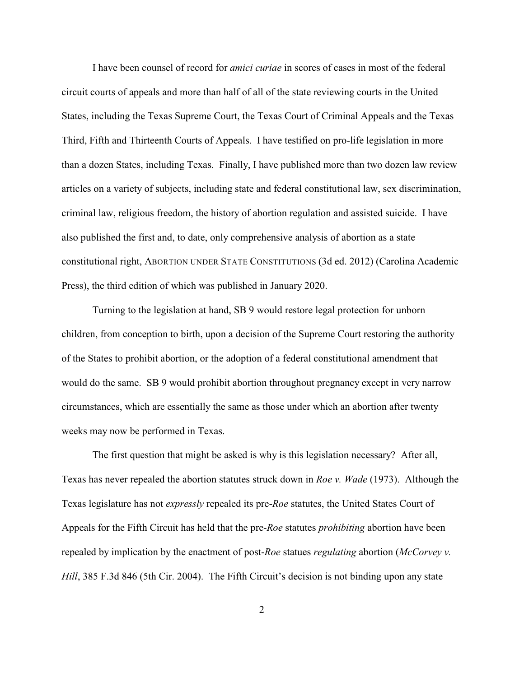I have been counsel of record for *amici curiae* in scores of cases in most of the federal circuit courts of appeals and more than half of all of the state reviewing courts in the United States, including the Texas Supreme Court, the Texas Court of Criminal Appeals and the Texas Third, Fifth and Thirteenth Courts of Appeals. I have testified on pro-life legislation in more than a dozen States, including Texas. Finally, I have published more than two dozen law review articles on a variety of subjects, including state and federal constitutional law, sex discrimination, criminal law, religious freedom, the history of abortion regulation and assisted suicide. I have also published the first and, to date, only comprehensive analysis of abortion as a state constitutional right, ABORTION UNDER STATE CONSTITUTIONS (3d ed. 2012) (Carolina Academic Press), the third edition of which was published in January 2020.

Turning to the legislation at hand, SB 9 would restore legal protection for unborn children, from conception to birth, upon a decision of the Supreme Court restoring the authority of the States to prohibit abortion, or the adoption of a federal constitutional amendment that would do the same. SB 9 would prohibit abortion throughout pregnancy except in very narrow circumstances, which are essentially the same as those under which an abortion after twenty weeks may now be performed in Texas.

The first question that might be asked is why is this legislation necessary? After all, Texas has never repealed the abortion statutes struck down in *Roe v. Wade* (1973). Although the Texas legislature has not *expressly* repealed its pre-*Roe* statutes, the United States Court of Appeals for the Fifth Circuit has held that the pre-*Roe* statutes *prohibiting* abortion have been repealed by implication by the enactment of post-*Roe* statues *regulating* abortion (*McCorvey v. Hill*, 385 F.3d 846 (5th Cir. 2004). The Fifth Circuit's decision is not binding upon any state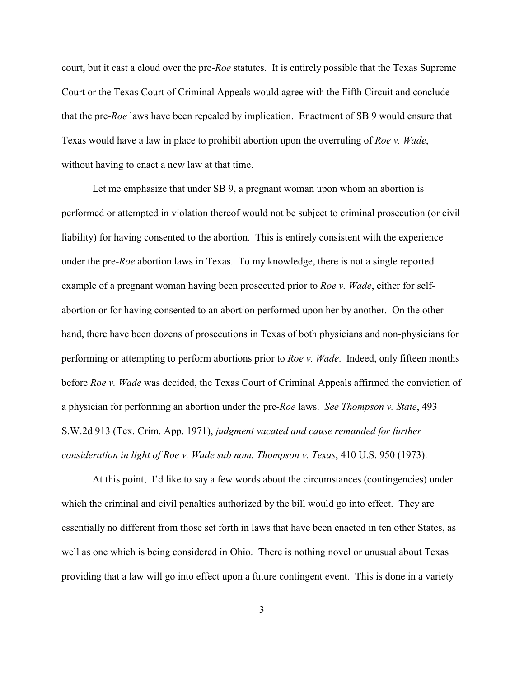court, but it cast a cloud over the pre-*Roe* statutes. It is entirely possible that the Texas Supreme Court or the Texas Court of Criminal Appeals would agree with the Fifth Circuit and conclude that the pre-*Roe* laws have been repealed by implication. Enactment of SB 9 would ensure that Texas would have a law in place to prohibit abortion upon the overruling of *Roe v. Wade*, without having to enact a new law at that time.

Let me emphasize that under SB 9, a pregnant woman upon whom an abortion is performed or attempted in violation thereof would not be subject to criminal prosecution (or civil liability) for having consented to the abortion. This is entirely consistent with the experience under the pre-*Roe* abortion laws in Texas. To my knowledge, there is not a single reported example of a pregnant woman having been prosecuted prior to *Roe v. Wade*, either for selfabortion or for having consented to an abortion performed upon her by another. On the other hand, there have been dozens of prosecutions in Texas of both physicians and non-physicians for performing or attempting to perform abortions prior to *Roe v. Wade*. Indeed, only fifteen months before *Roe v. Wade* was decided, the Texas Court of Criminal Appeals affirmed the conviction of a physician for performing an abortion under the pre-*Roe* laws. *See Thompson v. State*, 493 S.W.2d 913 (Tex. Crim. App. 1971), *judgment vacated and cause remanded for further consideration in light of Roe v. Wade sub nom. Thompson v. Texas*, 410 U.S. 950 (1973).

At this point, I'd like to say a few words about the circumstances (contingencies) under which the criminal and civil penalties authorized by the bill would go into effect. They are essentially no different from those set forth in laws that have been enacted in ten other States, as well as one which is being considered in Ohio. There is nothing novel or unusual about Texas providing that a law will go into effect upon a future contingent event. This is done in a variety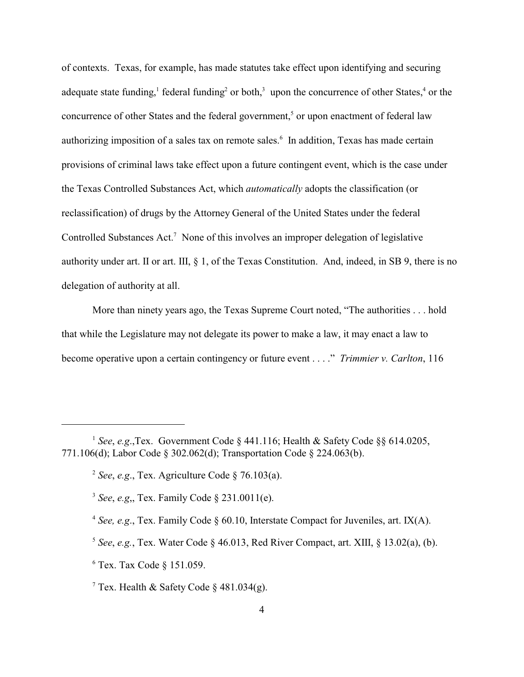of contexts. Texas, for example, has made statutes take effect upon identifying and securing adequate state funding,  $\frac{1}{2}$  federal funding<sup>2</sup> or both,<sup>3</sup> upon the concurrence of other States,<sup>4</sup> or the concurrence of other States and the federal government,<sup>5</sup> or upon enactment of federal law authorizing imposition of a sales tax on remote sales.<sup>6</sup> In addition, Texas has made certain provisions of criminal laws take effect upon a future contingent event, which is the case under the Texas Controlled Substances Act, which *automatically* adopts the classification (or reclassification) of drugs by the Attorney General of the United States under the federal Controlled Substances Act.<sup>7</sup> None of this involves an improper delegation of legislative authority under art. II or art. III, § 1, of the Texas Constitution. And, indeed, in SB 9, there is no delegation of authority at all.

More than ninety years ago, the Texas Supreme Court noted, "The authorities . . . hold that while the Legislature may not delegate its power to make a law, it may enact a law to become operative upon a certain contingency or future event . . . ." *Trimmier v. Carlton*, 116

- <sup>4</sup> See, e.g., Tex. Family Code § 60.10, Interstate Compact for Juveniles, art. IX(A).
- <sup>5</sup> See, e.g., Tex. Water Code § 46.013, Red River Compact, art. XIII, § 13.02(a), (b).
- $6$  Tex. Tax Code  $§$  151.059.

<sup>7</sup> Tex. Health & Safety Code  $\frac{1}{2}$  481.034(g).

<sup>&</sup>lt;sup>1</sup> See, e.g.,Tex. Government Code  $\S$  441.116; Health & Safety Code  $\S$ § 614.0205, 771.106(d); Labor Code § 302.062(d); Transportation Code § 224.063(b).

<sup>&</sup>lt;sup>2</sup> See, e.g., Tex. Agriculture Code  $\S$  76.103(a).

*See*, *e.g*,, Tex. Family Code § 231.0011(e). 3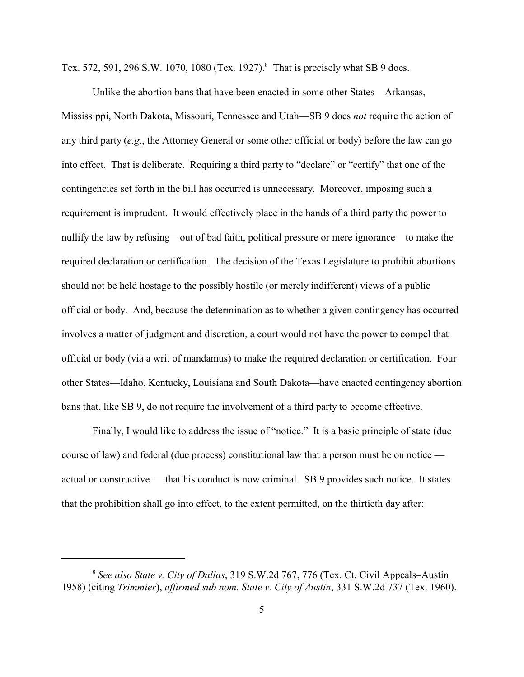Tex. 572, 591, 296 S.W. 1070, 1080 (Tex. 1927).<sup>8</sup> That is precisely what SB 9 does.

Unlike the abortion bans that have been enacted in some other States—Arkansas, Mississippi, North Dakota, Missouri, Tennessee and Utah—SB 9 does *not* require the action of any third party (*e.g*., the Attorney General or some other official or body) before the law can go into effect. That is deliberate. Requiring a third party to "declare" or "certify" that one of the contingencies set forth in the bill has occurred is unnecessary. Moreover, imposing such a requirement is imprudent. It would effectively place in the hands of a third party the power to nullify the law by refusing—out of bad faith, political pressure or mere ignorance—to make the required declaration or certification. The decision of the Texas Legislature to prohibit abortions should not be held hostage to the possibly hostile (or merely indifferent) views of a public official or body. And, because the determination as to whether a given contingency has occurred involves a matter of judgment and discretion, a court would not have the power to compel that official or body (via a writ of mandamus) to make the required declaration or certification. Four other States—Idaho, Kentucky, Louisiana and South Dakota—have enacted contingency abortion bans that, like SB 9, do not require the involvement of a third party to become effective.

Finally, I would like to address the issue of "notice." It is a basic principle of state (due course of law) and federal (due process) constitutional law that a person must be on notice actual or constructive — that his conduct is now criminal. SB 9 provides such notice. It states that the prohibition shall go into effect, to the extent permitted, on the thirtieth day after:

*See also State v. City of Dallas*, 319 S.W.2d 767, 776 (Tex. Ct. Civil Appeals–Austin <sup>8</sup> 1958) (citing *Trimmier*), *affirmed sub nom. State v. City of Austin*, 331 S.W.2d 737 (Tex. 1960).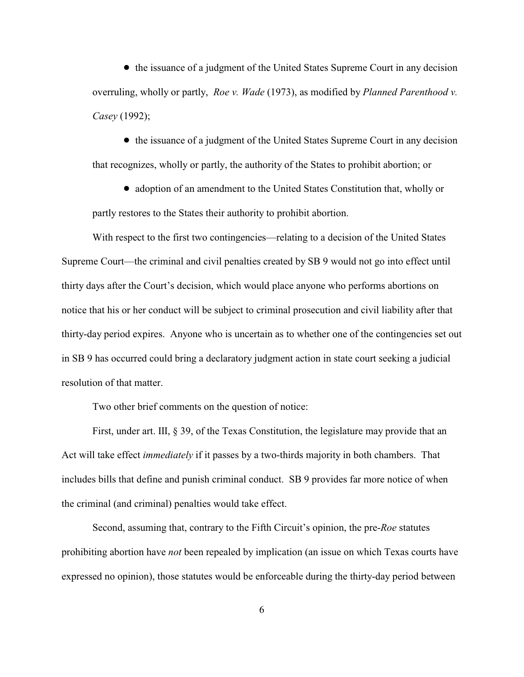• the issuance of a judgment of the United States Supreme Court in any decision overruling, wholly or partly, *Roe v. Wade* (1973), as modified by *Planned Parenthood v. Casey* (1992);

• the issuance of a judgment of the United States Supreme Court in any decision that recognizes, wholly or partly, the authority of the States to prohibit abortion; or

! adoption of an amendment to the United States Constitution that, wholly or partly restores to the States their authority to prohibit abortion.

With respect to the first two contingencies—relating to a decision of the United States Supreme Court—the criminal and civil penalties created by SB 9 would not go into effect until thirty days after the Court's decision, which would place anyone who performs abortions on notice that his or her conduct will be subject to criminal prosecution and civil liability after that thirty-day period expires. Anyone who is uncertain as to whether one of the contingencies set out in SB 9 has occurred could bring a declaratory judgment action in state court seeking a judicial resolution of that matter.

Two other brief comments on the question of notice:

First, under art. III, § 39, of the Texas Constitution, the legislature may provide that an Act will take effect *immediately* if it passes by a two-thirds majority in both chambers. That includes bills that define and punish criminal conduct. SB 9 provides far more notice of when the criminal (and criminal) penalties would take effect.

Second, assuming that, contrary to the Fifth Circuit's opinion, the pre-*Roe* statutes prohibiting abortion have *not* been repealed by implication (an issue on which Texas courts have expressed no opinion), those statutes would be enforceable during the thirty-day period between